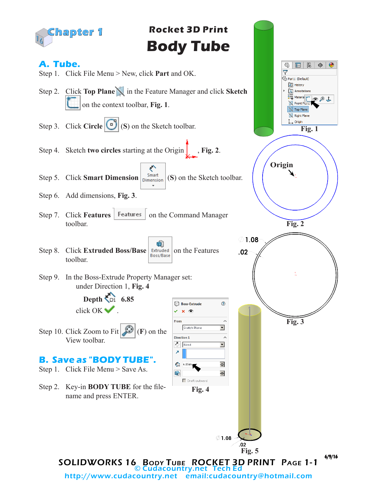

Step 2. Key-in **BODY TUBE** for the filename and press ENTER.

6/9/16 **Fig. 3 Fig. 2**

**Fig. 1**

 $00J$ 

隐  $\bigoplus$ ◉

 $\mathbb{G}$ 肩十

**B** Part1 (Default) **S** History A Annotations  $\frac{1}{2}$  Materia

Front P<sub>n</sub> Top Plane Right Plane  $\mathbb{L}$  Origin

SOLIDWORKS 16 BODY TUBE ROCKET 3D PRINT PAGE 1-1 © Cudacountry.net Tech Ed http://www.cudacountry.net email:cudacountry@hotmail.com

**Fig. 4**

**Fig. 4**

**Fig. 5**

 $.02$ 

 $\emptyset$ 1.08